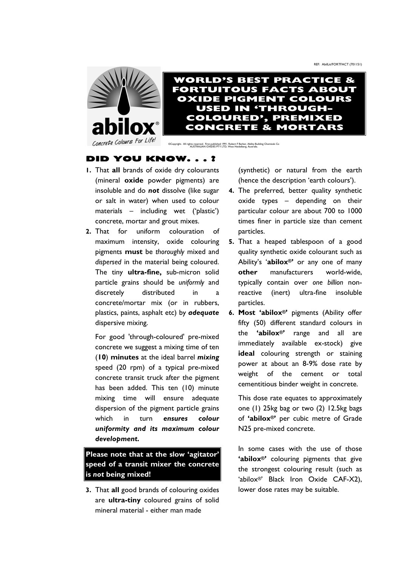



©Copyright. All rights reserved. First published 1991. Robert F Barber, Ability Building Chemicals Co AUSTRALIAN OXIDES PTY LTD, West Heidelberg, Australia.

## **DID YOU KNOW. . . ?**

- **1.** That **all** brands of oxide dry colourants (mineral **oxide** powder pigments) are insoluble and do *not* dissolve (like sugar or salt in water) when used to colour materials – including wet ('plastic') concrete, mortar and grout mixes.
- **2.** That for uniform colouration of maximum intensity, oxide colouring pigments **must** be *thoroughly* mixed and *dispersed* in the material being coloured. The tiny **ultra-fine,** sub-micron solid particle grains should be *uniformly* and discretely distributed in a concrete/mortar mix (or in rubbers, plastics, paints, asphalt etc) by *adequate* dispersive mixing.

For good 'through-coloured' pre-mixed concrete we suggest a mixing time of ten (**10**) **minutes** at the ideal barrel *mixing* speed (20 rpm) of a typical pre-mixed concrete transit truck after the pigment has been added. This ten (10) minute mixing time will ensure adequate dispersion of the pigment particle grains which in turn *ensures colour uniformity and its maximum colour development.* 

**Please note that at the slow 'agitator' speed of a transit mixer the concrete is** *not* **being mixed!** 

**3.** That **all** good brands of colouring oxides are **ultra-tiny** coloured grains of solid mineral material - either man made

(synthetic) or natural from the earth (hence the description 'earth colours').

- **4.** The preferred, better quality synthetic oxide types – depending on their particular colour are about 700 to 1000 times finer in particle size than cement particles.
- **5.** That a heaped tablespoon of a good quality synthetic oxide colourant such as Ability's '**abilox®'** or any one of many **other** manufacturers world-wide, typically contain over *one billion* nonreactive (inert) ultra-fine insoluble particles.
- **6. Most 'abilox®'** pigments (Ability offer fifty (50) different standard colours in the **'abilox®'** range and all are immediately available ex-stock) give **ideal** colouring strength or staining power at about an 8-9% dose rate by weight of the cement or total cementitious binder weight in concrete.

This dose rate equates to approximately one (1) 25kg bag or two (2) 12.5kg bags of **'abilox®'** per cubic metre of Grade N25 pre-mixed concrete.

In some cases with the use of those **'abilox®'** colouring pigments that give the strongest colouring result (such as 'abilox®' Black Iron Oxide CAF-X2), lower dose rates may be suitable.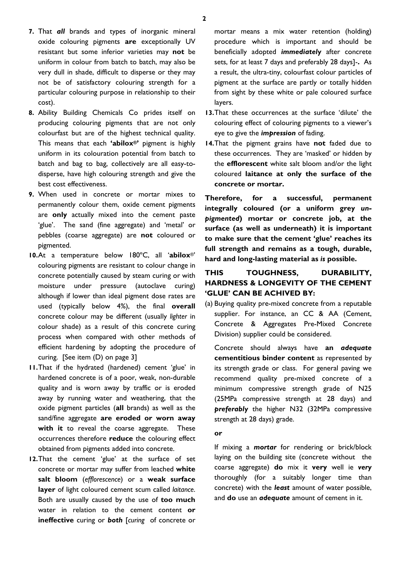- **7.** That *all* brands and types of inorganic mineral oxide colouring pigments **are** exceptionally UV resistant but some inferior varieties may **not** be uniform in colour from batch to batch, may also be very dull in shade, difficult to disperse or they may not be of satisfactory colouring strength for a particular colouring purpose in relationship to their cost).
- **8.** Ability Building Chemicals Co prides itself on producing colouring pigments that are not only colourfast but are of the highest technical quality. This means that each **'abilox®'** pigment is highly uniform in its colouration potential from batch to batch and bag to bag, collectively are all easy-todisperse, have high colouring strength and give the best cost effectiveness.
- **9.** When used in concrete or mortar mixes to permanently colour them, oxide cement pigments are **only** actually mixed into the cement paste 'glue'. The sand (fine aggregate) and 'metal' or pebbles (coarse aggregate) are **not** coloured or pigmented.
- **10.**At a temperature below 180ºC, all '**abilox**®' colouring pigments are resistant to colour change in concrete potentially caused by steam curing or with moisture under pressure (autoclave curing) although if lower than ideal pigment dose rates are used (typically below 4%), the final **overall** concrete colour may be different (usually *lighter* in colour shade) as a result of this concrete curing process when compared with other methods of efficient hardening by adopting the procedure of curing. [See item (D) on page 3]
- **11.**That if the hydrated (hardened) cement 'glue' in hardened concrete is of a poor, weak, non-durable quality and is worn away by traffic or is eroded away by running water and weathering, that the oxide pigment particles (**all** brands) as well as the sand/fine aggregate **are eroded or worn away with it** to reveal the coarse aggregate. These occurrences therefore **reduce** the colouring effect obtained from pigments added into concrete.
- **12.**That the cement 'glue' at the surface of set concrete or mortar may suffer from leached **white salt bloom** (*efflorescence*) or a **weak surface layer** of light coloured cement scum called *laitance*. Both are usually caused by the use of **too much** water in relation to the cement content **or ineffective** curing or *both* [*curing* of concrete or

mortar means a mix water retention (holding) procedure which is important and should be beneficially adopted *immediately* after concrete sets, for at least 7 days and preferably 28 days]-**.** As a result, the ultra-tiny, colourfast colour particles of pigment at the surface are partly or totally hidden from sight by these white or pale coloured surface layers.

- **13.**That these occurrences at the surface 'dilute' the colouring effect of colouring pigments to a viewer's eye to give the *impression* of fading.
- **14.**That the pigment grains have **not** faded due to these occurrences. They are 'masked' or hidden by the **efflorescent** white salt bloom and/or the light coloured **laitance at only the surface of the concrete or mortar.**

**Therefore, for a successful, permanent integrally coloured (or a uniform grey** *unpigmented***) mortar or concrete job, at the surface (as well as underneath) it is important to make sure that the cement 'glue' reaches its full strength and remains as a tough, durable, hard and long-lasting material as** *is* **possible.** 

# **THIS TOUGHNESS, DURABILITY, HARDNESS & LONGEVITY OF THE CEMENT 'GLUE' CAN BE ACHIVED BY:**

(a) Buying quality pre-mixed concrete from a reputable supplier. For instance, an CC & AA (Cement, Concrete & Aggregates Pre-Mixed Concrete Division) supplier could be considered.

Concrete should always have **an** *adequate* **cementitious binder content** as represented by its strength grade or class. For general paving we recommend quality pre-mixed concrete of a minimum compressive strength grade of N25 (25MPa compressive strength at 28 days) and *preferably* the higher N32 (32MPa compressive strength at 28 days) grade.

#### **or**

If mixing a *mortar* for rendering or brick/block laying on the building site (concrete without the coarse aggregate) **do** mix it **very** well ie *very* thoroughly (for a suitably longer time than concrete) with the *least* amount of water possible, and **do** use an *adequate* amount of cement in it.